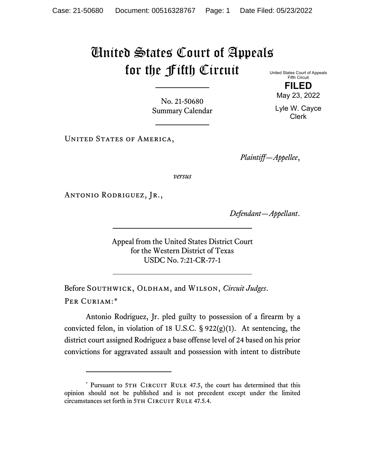## United States Court of Appeals for the Fifth Circuit United States Court of Appeals

Fifth Circuit **FILED** May 23, 2022

Lyle W. Cayce Clerk

No. 21-50680 Summary Calendar

UNITED STATES OF AMERICA,

*Plaintiff—Appellee*,

*versus*

Antonio Rodriguez, Jr.,

*Defendant—Appellant*.

Appeal from the United States District Court for the Western District of Texas USDC No. 7:21-CR-77-1

Before SOUTHWICK, OLDHAM, and WILSON, *Circuit Judges*. Per Curiam:[\\*](#page-0-0)

Antonio Rodriguez, Jr. pled guilty to possession of a firearm by a convicted felon, in violation of 18 U.S.C.  $\S 922(g)(1)$ . At sentencing, the district court assigned Rodriguez a base offense level of 24 based on his prior convictions for aggravated assault and possession with intent to distribute

<span id="page-0-0"></span><sup>\*</sup> Pursuant to 5TH CIRCUIT RULE 47.5, the court has determined that this opinion should not be published and is not precedent except under the limited circumstances set forth in 5TH CIRCUIT RULE 47.5.4.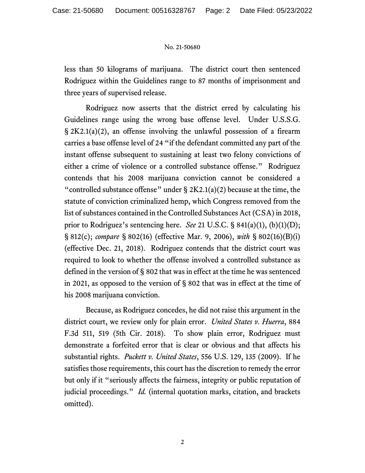## No. 21-50680

less than 50 kilograms of marijuana. The district court then sentenced Rodriguez within the Guidelines range to 87 months of imprisonment and three years of supervised release.

Rodriguez now asserts that the district erred by calculating his Guidelines range using the wrong base offense level. Under U.S.S.G. § 2K2.1(a)(2), an offense involving the unlawful possession of a firearm carries a base offense level of 24 "if the defendant committed any part of the instant offense subsequent to sustaining at least two felony convictions of either a crime of violence or a controlled substance offense." Rodriguez contends that his 2008 marijuana conviction cannot be considered a "controlled substance offense" under  $\S 2K2.1(a)(2)$  because at the time, the statute of conviction criminalized hemp, which Congress removed from the list of substances contained in the Controlled Substances Act (CSA) in 2018, prior to Rodriguez's sentencing here. *See* 21 U.S.C. § 841(a)(1), (b)(1)(D); § 812(c); *compare* § 802(16) (effective Mar. 9, 2006), *with* § 802(16)(B)(i) (effective Dec. 21, 2018). Rodriguez contends that the district court was required to look to whether the offense involved a controlled substance as defined in the version of § 802 that was in effect at the time he was sentenced in 2021, as opposed to the version of § 802 that was in effect at the time of his 2008 marijuana conviction.

Because, as Rodriguez concedes, he did not raise this argument in the district court, we review only for plain error. *United States v. Huerra*, 884 F.3d 511, 519 (5th Cir. 2018). To show plain error, Rodriguez must demonstrate a forfeited error that is clear or obvious and that affects his substantial rights. *Puckett v. United States*, 556 U.S. 129, 135 (2009). If he satisfies those requirements, this court has the discretion to remedy the error but only if it "seriously affects the fairness, integrity or public reputation of judicial proceedings." *Id.* (internal quotation marks, citation, and brackets omitted).